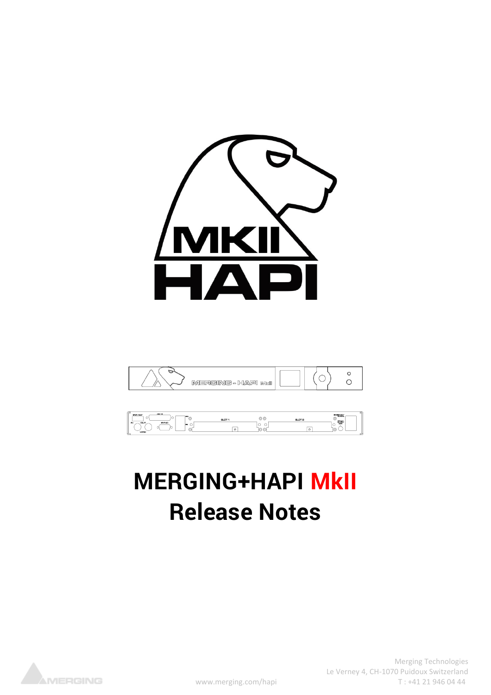





# **MERGING+HAPI MkII Release Notes**



Merging Technologies Le Verney 4, CH-1070 Puidoux Switzerland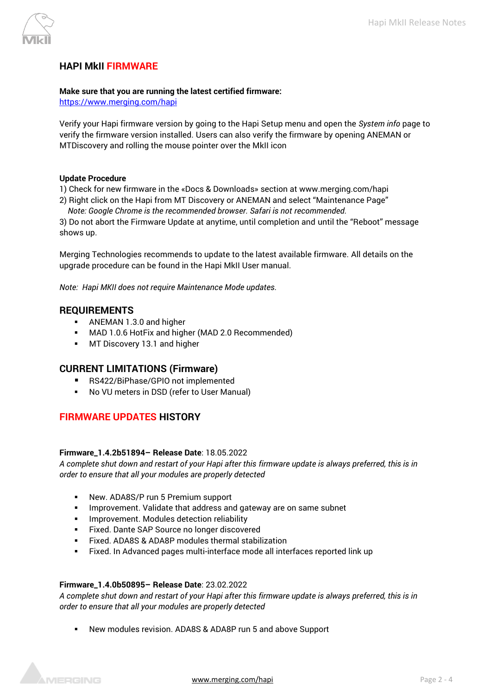

# **HAPI MkII FIRMWARE**

#### **Make sure that you are running the latest certified firmware:**

<https://www.merging.com/hapi>

Verify your Hapi firmware version by going to the Hapi Setup menu and open the *System info* page to verify the firmware version installed. Users can also verify the firmware by opening ANEMAN or MTDiscovery and rolling the mouse pointer over the MkII icon

#### **Update Procedure**

1) Check for new firmware in the «Docs & Downloads» section at www.merging.com/hapi

2) Right click on the Hapi from MT Discovery or ANEMAN and select "Maintenance Page" *Note: Google Chrome is the recommended browser. Safari is not recommended.*

3) Do not abort the Firmware Update at anytime, until completion and until the "Reboot" message shows up.

Merging Technologies recommends to update to the latest available firmware. All details on the upgrade procedure can be found in the Hapi MkII User manual.

*Note: Hapi MKII does not require Maintenance Mode updates.*

# **REQUIREMENTS**

- ANEMAN 1.3.0 and higher
- MAD 1.0.6 HotFix and higher (MAD 2.0 Recommended)
- **■** MT Discovery 13.1 and higher

# **CURRENT LIMITATIONS (Firmware)**

- RS422/BiPhase/GPIO not implemented
- No VU meters in DSD (refer to User Manual)

# **FIRMWARE UPDATES HISTORY**

#### **Firmware\_1.4.2b51894– Release Date**: 18.05.2022

*A complete shut down and restart of your Hapi after this firmware update is always preferred, this is in order to ensure that all your modules are properly detected*

- New. ADA8S/P run 5 Premium support
- **.** Improvement. Validate that address and gateway are on same subnet
- **·** Improvement. Modules detection reliability
- Fixed. Dante SAP Source no longer discovered
- Fixed. ADA8S & ADA8P modules thermal stabilization
- Fixed. In Advanced pages multi-interface mode all interfaces reported link up

#### **Firmware\_1.4.0b50895– Release Date**: 23.02.2022

*A complete shut down and restart of your Hapi after this firmware update is always preferred, this is in order to ensure that all your modules are properly detected*

New modules revision. ADA8S & ADA8P run 5 and above Support



[www.merging.com/hapi](http://www.merging.com/hapi) **Page 2 - 4**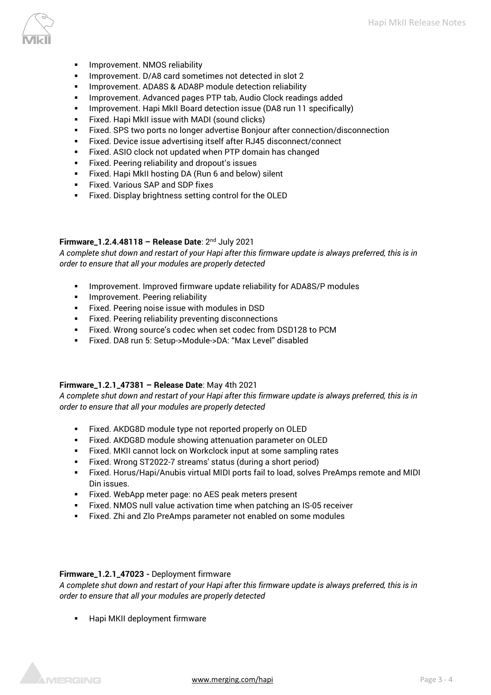

- Improvement. NMOS reliability
- Improvement. D/A8 card sometimes not detected in slot 2
- **EXECT:** Improvement. ADA8S & ADA8P module detection reliability
- Improvement. Advanced pages PTP tab, Audio Clock readings added
- **E** Improvement. Hapi MkII Board detection issue (DA8 run 11 specifically)
- Fixed. Hapi MkII issue with MADI (sound clicks)
- Fixed. SPS two ports no longer advertise Bonjour after connection/disconnection
- Fixed. Device issue advertising itself after RJ45 disconnect/connect
- Fixed. ASIO clock not updated when PTP domain has changed
- Fixed. Peering reliability and dropout's issues
- Fixed. Hapi MkII hosting DA (Run 6 and below) silent
- Fixed. Various SAP and SDP fixes
- Fixed. Display brightness setting control for the OLED

## **Firmware\_1.2.4.48118 – Release Date**: 2 nd July 2021

*A complete shut down and restart of your Hapi after this firmware update is always preferred, this is in order to ensure that all your modules are properly detected*

- **·** Improvement. Improved firmware update reliability for ADA8S/P modules
- **·** Improvement. Peering reliability
- Fixed. Peering noise issue with modules in DSD
- Fixed. Peering reliability preventing disconnections
- Fixed. Wrong source's codec when set codec from DSD128 to PCM
- Fixed. DA8 run 5: Setup->Module->DA: "Max Level" disabled

#### **Firmware\_1.2.1\_47381 – Release Date**: May 4th 2021

*A complete shut down and restart of your Hapi after this firmware update is always preferred, this is in order to ensure that all your modules are properly detected*

- Fixed. AKDG8D module type not reported properly on OLED
- Fixed. AKDG8D module showing attenuation parameter on OLED
- Fixed. MKII cannot lock on Workclock input at some sampling rates
- Fixed. Wrong ST2022-7 streams' status (during a short period)
- Fixed. Horus/Hapi/Anubis virtual MIDI ports fail to load, solves PreAmps remote and MIDI Din issues.
- Fixed. WebApp meter page: no AES peak meters present
- Fixed. NMOS null value activation time when patching an IS-05 receiver
- Fixed. Zhi and Zlo PreAmps parameter not enabled on some modules

#### **Firmware\_1.2.1\_47023 -** Deployment firmware

*A complete shut down and restart of your Hapi after this firmware update is always preferred, this is in order to ensure that all your modules are properly detected*

Hapi MKII deployment firmware